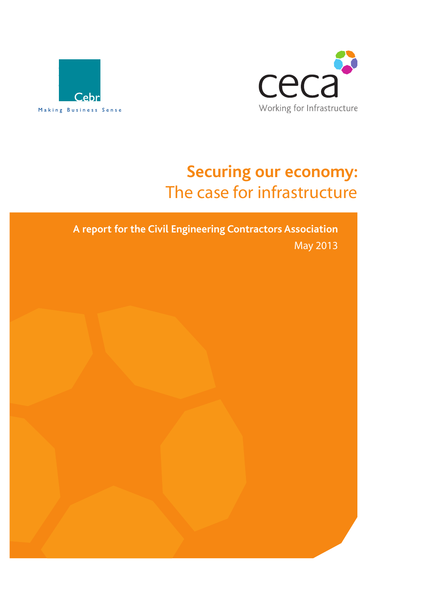



# **Securing our economy:**  The case for infrastructure

**A report for the Civil Engineering Contractors Association**  May 2013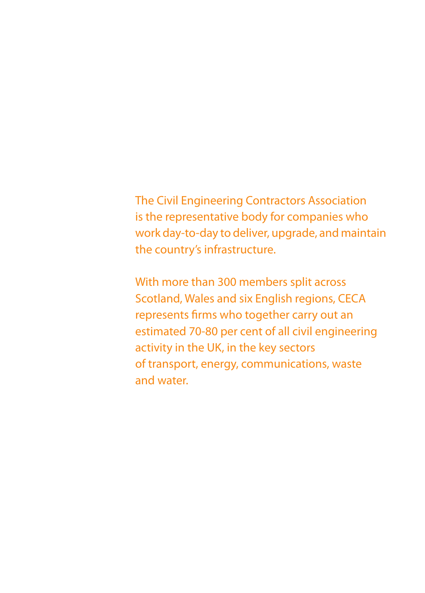### The Civil Engineering Contractors Association is the representative body for companies who work day-to-day to deliver, upgrade, and maintain the country's infrastructure.

With more than 300 members split across Scotland, Wales and six English regions, CECA represents firms who together carry out an estimated 70-80 per cent of all civil engineering activity in the UK, in the key sectors of transport, energy, communications, waste and water.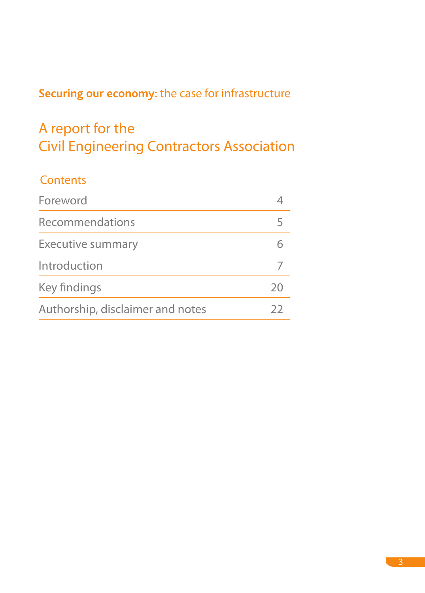### **Securing our economy:** the case for infrastructure

# A report for the Civil Engineering Contractors Association

### **Contents**

| Foreword                         |                |
|----------------------------------|----------------|
| <b>Recommendations</b>           |                |
| <b>Executive summary</b>         |                |
| Introduction                     |                |
| Key findings                     | 2 <sup>c</sup> |
| Authorship, disclaimer and notes | フフ             |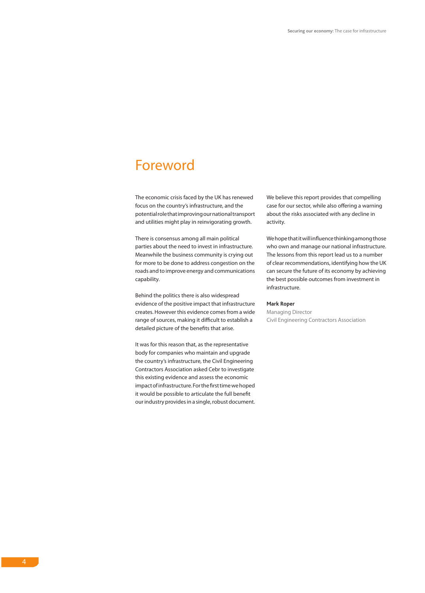### Foreword

The economic crisis faced by the UK has renewed focus on the country's infrastructure, and the potential role that improving our national transport and utilities might play in reinvigorating growth.

There is consensus among all main political parties about the need to invest in infrastructure. Meanwhile the business community is crying out for more to be done to address congestion on the roads and to improve energy and communications capability.

Behind the politics there is also widespread evidence of the positive impact that infrastructure creates. However this evidence comes from a wide range of sources, making it difficult to establish a detailed picture of the benefits that arise.

It was for this reason that, as the representative body for companies who maintain and upgrade the country's infrastructure, the Civil Engineering Contractors Association asked Cebr to investigate this existing evidence and assess the economic impact of infrastructure. For the first time we hoped it would be possible to articulate the full benefit our industry provides in a single, robust document. We believe this report provides that compelling case for our sector, while also offering a warning about the risks associated with any decline in activity.

We hope that it will influence thinking among those who own and manage our national infrastructure. The lessons from this report lead us to a number of clear recommendations, identifying how the UK can secure the future of its economy by achieving the best possible outcomes from investment in infrastructure.

#### **Mark Roper**

Managing Director Civil Engineering Contractors Association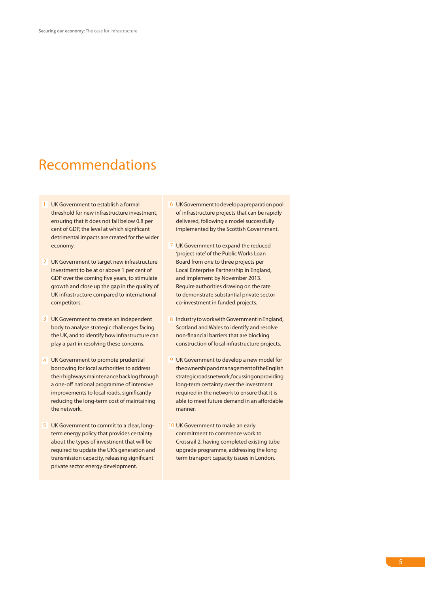### Recommendations

- 1 UK Government to establish a formal threshold for new infrastructure investment, ensuring that it does not fall below 0.8 per cent of GDP, the level at which significant detrimental impacts are created for the wider economy.
- 2 UK Government to target new infrastructure investment to be at or above 1 per cent of GDP over the coming five years, to stimulate growth and close up the gap in the quality of UK infrastructure compared to international competitors.
- 3 UK Government to create an independent body to analyse strategic challenges facing the UK, and to identify how infrastructure can play a part in resolving these concerns.
- 4 UK Government to promote prudential borrowing for local authorities to address their highways maintenance backlog through a one-off national programme of intensive improvements to local roads, significantly reducing the long-term cost of maintaining the network.
- 5 UK Government to commit to a clear, long-<br>
10 term energy policy that provides certainty about the types of investment that will be required to update the UK's generation and transmission capacity, releasing significant private sector energy development.
- UK Government to develop a preparation pool 6 of infrastructure projects that can be rapidly delivered, following a model successfully implemented by the Scottish Government.
- 7 UK Government to expand the reduced 'project rate' of the Public Works Loan Board from one to three projects per Local Enterprise Partnership in England, and implement by November 2013. Require authorities drawing on the rate to demonstrate substantial private sector co-investment in funded projects.
- 8 Industry to work with Government in England, Scotland and Wales to identify and resolve non-financial barriers that are blocking construction of local infrastructure projects.
- 9 UK Government to develop a new model for the ownership and management of the English strategic roads network, focussing on providing long-term certainty over the investment required in the network to ensure that it is able to meet future demand in an affordable manner.
- 10 UK Government to make an early commitment to commence work to Crossrail 2, having completed existing tube upgrade programme, addressing the long term transport capacity issues in London.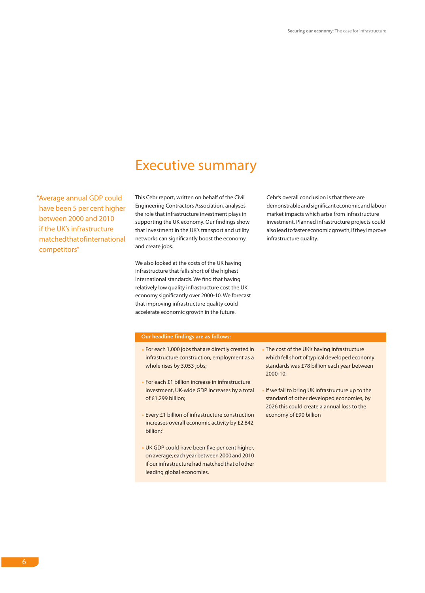### Executive summary

"Average annual GDP could have been 5 per cent higher between 2000 and 2010 if the UK's infrastructure matched that of international competitors"

This Cebr report, written on behalf of the Civil Engineering Contractors Association, analyses the role that infrastructure investment plays in supporting the UK economy. Our findings show that investment in the UK's transport and utility networks can significantly boost the economy and create jobs.

We also looked at the costs of the UK having infrastructure that falls short of the highest international standards. We find that having relatively low quality infrastructure cost the UK economy significantly over 2000-10. We forecast that improving infrastructure quality could accelerate economic growth in the future.

Cebr's overall conclusion is that there are demonstrable and significant economic and labour market impacts which arise from infrastructure investment. Planned infrastructure projects could also lead to faster economic growth, if they improve infrastructure quality.

#### **Our headline findings are as follows:**

- For each 1,000 jobs that are directly created in infrastructure construction, employment as a whole rises by 3,053 jobs;
- For each £1 billion increase in infrastructure investment, UK-wide GDP increases by a total of £1.299 billion;
- Every £1 billion of infrastructure construction increases overall economic activity by £2.842 billion;1
- UK GDP could have been five per cent higher, on average, each year between 2000 and 2010 if our infrastructure had matched that of other leading global economies.
- The cost of the UK's having infrastructure which fell short of typical developed economy standards was £78 billion each year between 2000-10.
- If we fail to bring UK infrastructure up to the standard of other developed economies, by 2026 this could create a annual loss to the economy of £90 billion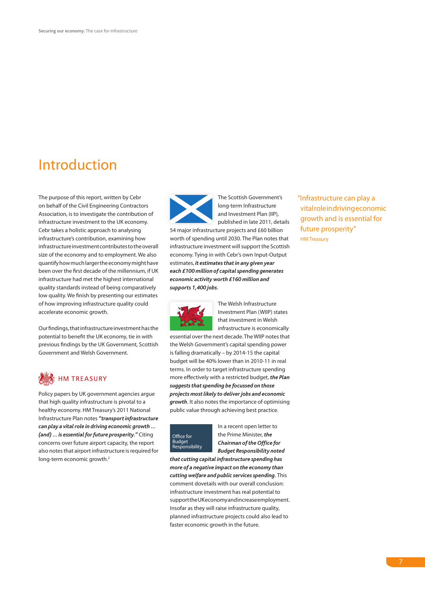### Introduction

The purpose of this report, written by Cebr on behalf of the Civil Engineering Contractors Association, is to investigate the contribution of infrastructure investment to the UK economy. Cebr takes a holistic approach to analysing infrastructure's contribution, examining how infrastructure investment contributes to the overall size of the economy and to employment. We also quantify how much larger the economy might have been over the first decade of the millennium, if UK infrastructure had met the highest international quality standards instead of being comparatively low quality. We finish by presenting our estimates of how improving infrastructure quality could accelerate economic growth.

Our findings, that infrastructure investment has the potential to benefit the UK economy, tie in with previous findings by the UK Government, Scottish Government and Welsh Government.

### HM TREASURY

Policy papers by UK government agencies argue that high quality infrastructure is pivotal to a healthy economy. HM Treasury's 2011 National Infrastructure Plan notes *"transport infrastructure can play a vital role in driving economic growth … (and) … is essential for future prosperity."* Citing concerns over future airport capacity, the report also notes that airport infrastructure is required for long-term economic growth.<sup>2</sup>



The Scottish Government's long-term Infrastructure and Investment Plan (IIP), published in late 2011, details

54 major infrastructure projects and £60 billion worth of spending until 2030. The Plan notes that infrastructure investment will support the Scottish economy. Tying in with Cebr's own Input-Output estimates, *it estimates that in any given year each £100 million of capital spending generates economic activity worth £160 million and supports 1,400 jobs.*



The Welsh Infrastructure Investment Plan (WIIP) states that investment in Welsh infrastructure is economically

essential over the next decade. The WIIP notes that the Welsh Government's capital spending power is falling dramatically – by 2014-15 the capital budget will be 40% lower than in 2010-11 in real terms. In order to target infrastructure spending more effectively with a restricted budget, *the Plan suggests that spending be focussed on those projects most likely to deliver jobs and economic growth.* It also notes the importance of optimising public value through achieving best practice.



In a recent open letter to the Prime Minister, *the Chairman of the Office for Budget Responsibility noted* 

*that cutting capital infrastructure spending has more of a negative impact on the economy than cutting welfare and public services spending.* This comment dovetails with our overall conclusion: infrastructure investment has real potential to support the UK economy and increase employment. Insofar as they will raise infrastructure quality, planned infrastructure projects could also lead to faster economic growth in the future.

"Infrastructure can play a vital role in driving economic growth and is essential for future prosperity" HM Treasury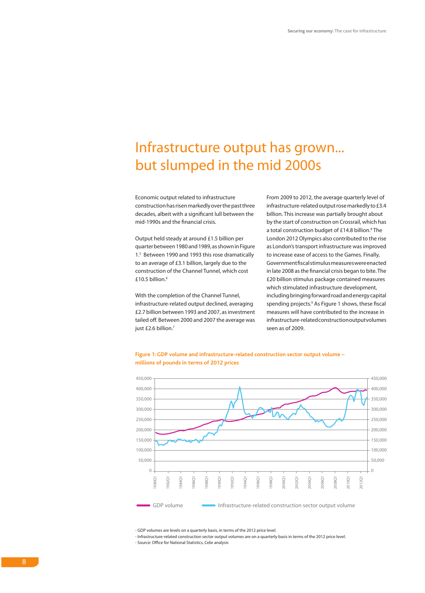### Infrastructure output has grown... but slumped in the mid 2000s

Economic output related to infrastructure construction has risen markedly over the past three decades, albeit with a significant lull between the mid-1990s and the financial crisis.

Output held steady at around £1.5 billion per quarter between 1980 and 1989, as shown in Figure 1.5 Between 1990 and 1993 this rose dramatically to an average of £3.1 billion, largely due to the construction of the Channel Tunnel, which cost £10.5 billion. $6$ 

With the completion of the Channel Tunnel, infrastructure-related output declined, averaging £2.7 billion between 1993 and 2007, as investment tailed off. Between 2000 and 2007 the average was just £2.6 billion.<sup>7</sup>

From 2009 to 2012, the average quarterly level of infrastructure-related output rose markedly to £3.4 billion. This increase was partially brought about by the start of construction on Crossrail, which has a total construction budget of £14.8 billion.<sup>8</sup> The London 2012 Olympics also contributed to the rise as London's transport infrastructure was improved to increase ease of access to the Games. Finally, Government fiscal stimulus measures were enacted in late 2008 as the financial crisis began to bite. The £20 billion stimulus package contained measures which stimulated infrastructure development, including bringing forward road and energy capital spending projects.<sup>9</sup> As Figure 1 shows, these fiscal measures will have contributed to the increase in infrastructure-related construction output volumes seen as of 2009.





- GDP volumes are levels on a quarterly basis, in terms of the 2012 price level.

- Infrastructure-related construction sector output volumes are on a quarterly basis in terms of the 2012 price level. - Source: Office for National Statistics, Cebr analysis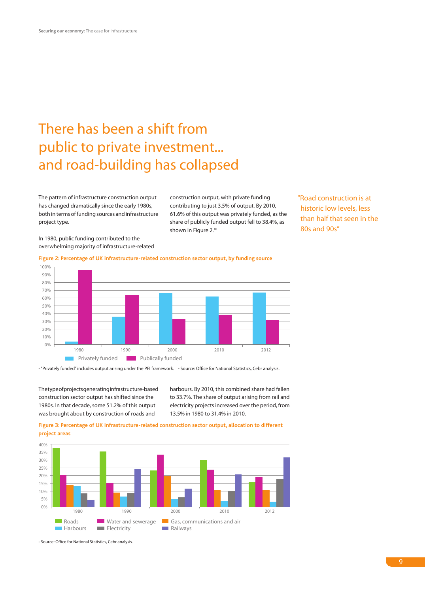# There has been a shift from public to private investment... and road-building has collapsed

The pattern of infrastructure construction output has changed dramatically since the early 1980s, both in terms of funding sources and infrastructure project type.

construction output, with private funding contributing to just 3.5% of output. By 2010, 61.6% of this output was privately funded, as the share of publicly funded output fell to 38.4%, as shown in Figure 2.<sup>10</sup>

"Road construction is at historic low levels, less than half that seen in the 80s and 90s"

In 1980, public funding contributed to the overwhelming majority of infrastructure-related

**Figure 2: Percentage of UK infrastructure-related construction sector output, by funding source**



- "Privately funded" includes output arising under the PFI framework. - Source: Office for National Statistics, Cebr analysis.

The type of projects generating infrastructure-based construction sector output has shifted since the 1980s. In that decade, some 51.2% of this output was brought about by construction of roads and

harbours. By 2010, this combined share had fallen to 33.7%. The share of output arising from rail and electricity projects increased over the period, from 13.5% in 1980 to 31.4% in 2010.

**Figure 3: Percentage of UK infrastructure-related construction sector output, allocation to different project areas**



- Source: Office for National Statistics, Cebr analysis.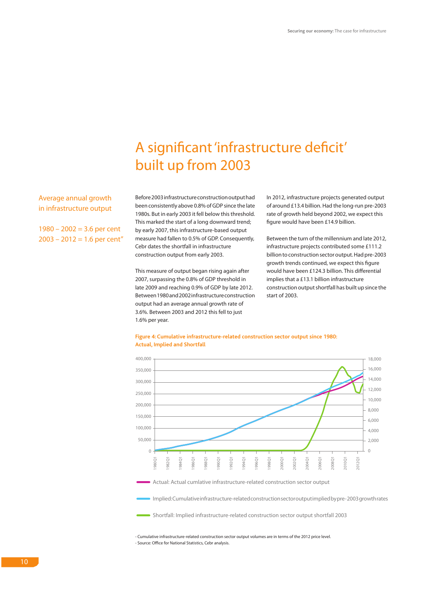# A significant 'infrastructure deficit' built up from 2003

Average annual growth in infrastructure output

 $1980 - 2002 = 3.6$  per cent  $2003 - 2012 = 1.6$  per cent"

Before 2003 infrastructure construction output had been consistently above 0.8% of GDP since the late 1980s. But in early 2003 it fell below this threshold. This marked the start of a long downward trend; by early 2007, this infrastructure-based output measure had fallen to 0.5% of GDP. Consequently, Cebr dates the shortfall in infrastructure construction output from early 2003.

This measure of output began rising again after 2007, surpassing the 0.8% of GDP threshold in late 2009 and reaching 0.9% of GDP by late 2012. Between 1980 and 2002 infrastructure construction output had an average annual growth rate of 3.6%. Between 2003 and 2012 this fell to just 1.6% per year.

In 2012, infrastructure projects generated output of around £13.4 billion. Had the long-run pre-2003 rate of growth held beyond 2002, we expect this figure would have been £14.9 billion.

Between the turn of the millennium and late 2012, infrastructure projects contributed some £111.2 billion to construction sector output. Had pre-2003 growth trends continued, we expect this figure would have been £124.3 billion. This differential implies that a £13.1 billion infrastructure construction output shortfall has built up since the start of 2003.



#### **Figure 4: Cumulative infrastructure-related construction sector output since 1980: Actual, Implied and Shortfall**

Actual: Actual cumlative infrastructure-related construction sector output

Implied: Cumulative infrastructure-related construction sector output implied by pre- 2003 growth rates

Shortfall: Implied infrastructure-related construction sector output shortfall 2003

- Cumulative infrastructure-related construction sector output volumes are in terms of the 2012 price level. - Source: Office for National Statistics, Cebr analysis.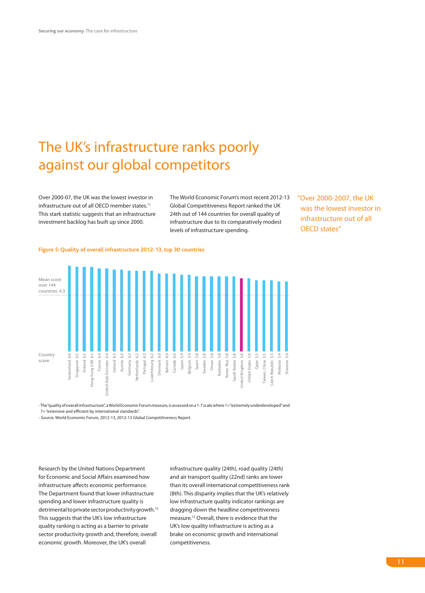# The UK's infrastructure ranks poorly against our global competitors

Over 2000-07, the UK was the lowest investor in infrastructure out of all OECD member states.<sup>11</sup> This stark statistic suggests that an infrastructure investment backlog has built up since 2000.

The World Economic Forum's most recent 2012-13 Global Competitiveness Report ranked the UK 24th out of 144 countries for overall quality of infrastructure due to its comparatively modest levels of infrastructure spending.

"Over 2000-2007, the UK was the lowest investor in infrastructure out of all OECD states"

#### **Figure 5: Quality of overall infrastructure 2012-13, top 30 countries**



- The "quality of overall infrastructure", a World Economic Forum measure, is assessed on a 1-7 scale where 1= "extremely underdeveloped" and 7= "extensive and efficient by international standards".

- Source: World Economic Forum, 2012-13, 2012-13 Global Competitiveness Report.

Research by the United Nations Department for Economic and Social Affairs examined how infrastructure affects economic performance. The Department found that lower infrastructure spending and lower infrastructure quality is detrimental to private sector productivity growth.<sup>12</sup> This suggests that the UK's low infrastructure quality ranking is acting as a barrier to private sector productivity growth and, therefore, overall economic growth. Moreover, the UK's overall

infrastructure quality (24th), road quality (24th) and air transport quality (22nd) ranks are lower than its overall international competitiveness rank (8th). This disparity implies that the UK's relatively low infrastructure quality indicator rankings are dragging down the headline competitiveness measure.13 Overall, there is evidence that the UK's low quality infrastructure is acting as a brake on economic growth and international competitiveness.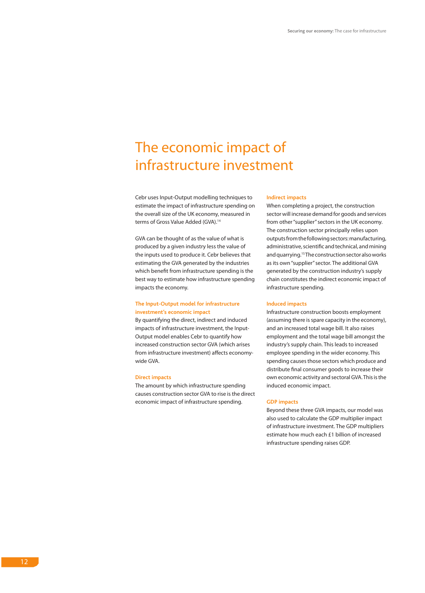### The economic impact of infrastructure investment

Cebr uses Input-Output modelling techniques to estimate the impact of infrastructure spending on the overall size of the UK economy, measured in terms of Gross Value Added (GVA).<sup>14</sup>

GVA can be thought of as the value of what is produced by a given industry less the value of the inputs used to produce it. Cebr believes that estimating the GVA generated by the industries which benefit from infrastructure spending is the best way to estimate how infrastructure spending impacts the economy.

#### **The Input-Output model for infrastructure investment's economic impact**

By quantifying the direct, indirect and induced impacts of infrastructure investment, the Input-Output model enables Cebr to quantify how increased construction sector GVA (which arises from infrastructure investment) affects economywide GVA.

#### **Direct impacts**

The amount by which infrastructure spending causes construction sector GVA to rise is the direct economic impact of infrastructure spending.

#### **Indirect impacts**

When completing a project, the construction sector will increase demand for goods and services from other "supplier" sectors in the UK economy. The construction sector principally relies upon outputs from the following sectors: manufacturing, administrative, scientific and technical, and mining and quarrying.<sup>15</sup> The construction sector also works as its own "supplier" sector. The additional GVA generated by the construction industry's supply chain constitutes the indirect economic impact of infrastructure spending.

#### **Induced impacts**

Infrastructure construction boosts employment (assuming there is spare capacity in the economy), and an increased total wage bill. It also raises employment and the total wage bill amongst the industry's supply chain. This leads to increased employee spending in the wider economy. This spending causes those sectors which produce and distribute final consumer goods to increase their own economic activity and sectoral GVA. This is the induced economic impact.

#### **GDP impacts**

Beyond these three GVA impacts, our model was also used to calculate the GDP multiplier impact of infrastructure investment. The GDP multipliers estimate how much each £1 billion of increased infrastructure spending raises GDP.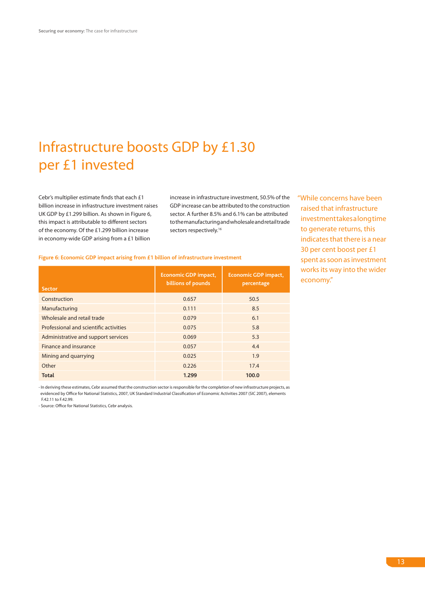# Infrastructure boosts GDP by £1.30 per £1 invested

Cebr's multiplier estimate finds that each £1 billion increase in infrastructure investment raises UK GDP by £1.299 billion. As shown in Figure 6, this impact is attributable to different sectors of the economy. Of the £1.299 billion increase in economy-wide GDP arising from a £1 billion

increase in infrastructure investment, 50.5% of the GDP increase can be attributed to the construction sector. A further 8.5% and 6.1% can be attributed to the manufacturing and wholesale and retail trade sectors respectively.<sup>16</sup>

"While concerns have been raised that infrastructure investment takes a long time to generate returns, this indicates that there is a near 30 per cent boost per £1 spent as soon as investment works its way into the wider economy."

#### **Figure 6: Economic GDP impact arising from £1 billion of infrastructure investment**

| <b>Sector</b>                          | <b>Economic GDP impact,</b><br>billions of pounds | <b>Economic GDP impact,</b><br>percentage |
|----------------------------------------|---------------------------------------------------|-------------------------------------------|
| Construction                           | 0.657                                             | 50.5                                      |
| Manufacturing                          | 0.111                                             | 8.5                                       |
| Wholesale and retail trade             | 0.079                                             | 6.1                                       |
| Professional and scientific activities | 0.075                                             | 5.8                                       |
| Administrative and support services    | 0.069                                             | 5.3                                       |
| Finance and insurance                  | 0.057                                             | 4.4                                       |
| Mining and quarrying                   | 0.025                                             | 1.9                                       |
| Other                                  | 0.226                                             | 17.4                                      |
| <b>Total</b>                           | 1.299                                             | 100.0                                     |

- In deriving these estimates, Cebr assumed that the construction sector is responsible for the completion of new infrastructure projects, as evidenced by Office for National Statistics, 2007, UK Standard Industrial Classification of Economic Activities 2007 (SIC 2007), elements F.42.11 to F.42.99.

- Source: Office for National Statistics, Cebr analysis.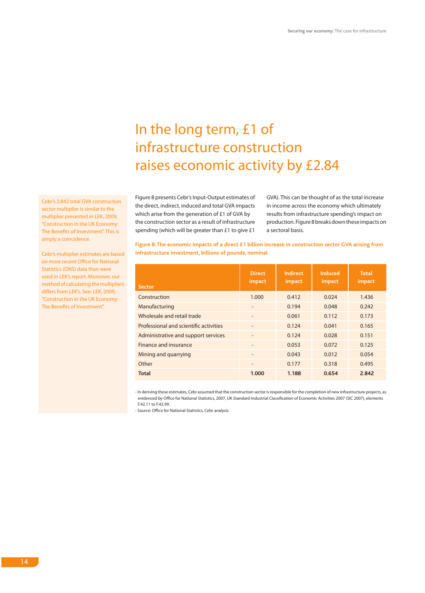# In the long term, £1 of infrastructure construction raises economic activity by £2.84

Figure 8 presents Cebr's Input-Output estimates of the direct, indirect, induced and total GVA impacts which arise from the generation of £1 of GVA by the construction sector as a result of infrastructure spending (which will be greater than £1 to give £1 GVA). This can be thought of as the total increase in income across the economy which ultimately results from infrastructure spending's impact on production. Figure 8 breaks down these impacts on a sectoral basis.

**Figure 8: The economic impacts of a direct £1 billion increase in construction sector GVA arising from infrastructure investment, billions of pounds, nominal**

| <b>Sector</b>                          | <b>Direct</b><br>impact      | Indirect<br>impact | Induced<br>impact | <b>Total</b><br>impact |
|----------------------------------------|------------------------------|--------------------|-------------------|------------------------|
| Construction                           | 1.000                        | 0.412              | 0.024             | 1.436                  |
| Manufacturing                          |                              | 0.194              | 0.048             | 0.242                  |
| Wholesale and retail trade             | $\overline{\phantom{a}}$     | 0.061              | 0.112             | 0.173                  |
| Professional and scientific activities | $\qquad \qquad \blacksquare$ | 0.124              | 0.041             | 0.165                  |
| Administrative and support services    | $\overline{\phantom{a}}$     | 0.124              | 0.028             | 0.151                  |
| Finance and insurance                  |                              | 0.053              | 0.072             | 0.125                  |
| Mining and quarrying                   |                              | 0.043              | 0.012             | 0.054                  |
| Other                                  | $\overline{\phantom{a}}$     | 0.177              | 0.318             | 0.495                  |
| Total                                  | 1.000                        | 1.188              | 0.654             | 2.842                  |

- In deriving these estimates, Cebr assumed that the construction sector is responsible for the completion of new infrastructure projects, as evidenced by Office for National Statistics, 2007, UK Standard Industrial Classification of Economic Activities 2007 (SIC 2007), elements F.42.11 to F.42.99.

- Source: Office for National Statistics, Cebr analysis.

Cebr's 2.842 total GVA construction sector multiplier is similar to the multiplier presented in LEK, 2009, "Construction in the UK Economy: The Benefits of Investment". This is simply a coincidence.

Cebr's multiplier estimates are based on more recent Office for National Statistics (ONS) data than were used in LEK's report. Moreover, our method of calculating the multipliers differs from LEK's. See: LEK, 2009, "Construction in the UK Economy: The Benefits of Investment".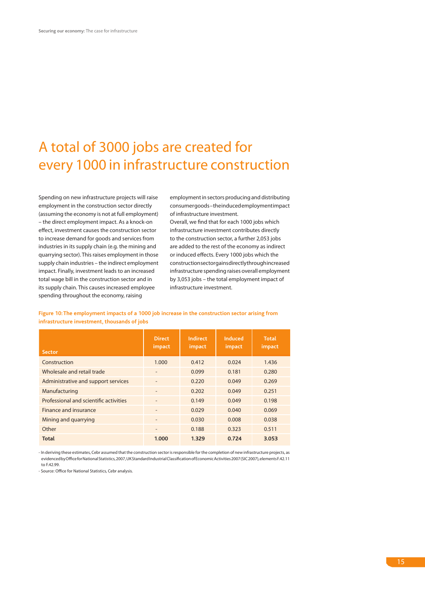### A total of 3000 jobs are created for every 1000 in infrastructure construction

Spending on new infrastructure projects will raise employment in the construction sector directly (assuming the economy is not at full employment) – the direct employment impact. As a knock-on effect, investment causes the construction sector to increase demand for goods and services from industries in its supply chain (e.g. the mining and quarrying sector). This raises employment in those supply chain industries – the indirect employment impact. Finally, investment leads to an increased total wage bill in the construction sector and in its supply chain. This causes increased employee spending throughout the economy, raising

employment in sectors producing and distributing consumer goods – the induced employment impact of infrastructure investment.

Overall, we find that for each 1000 jobs which infrastructure investment contributes directly to the construction sector, a further 2,053 jobs are added to the rest of the economy as indirect or induced effects. Every 1000 jobs which the construction sector gains directly through increased infrastructure spending raises overall employment by 3,053 jobs – the total employment impact of infrastructure investment.

**Figure 10: The employment impacts of a 1000 job increase in the construction sector arising from infrastructure investment, thousands of jobs** 

| <b>Sector</b>                          | <b>Direct</b><br>impact  | <b>Indirect</b><br>impact | Induced<br>impact | Total<br>impact |
|----------------------------------------|--------------------------|---------------------------|-------------------|-----------------|
| Construction                           | 1.000                    | 0.412                     | 0.024             | 1.436           |
| Wholesale and retail trade             | $\overline{\phantom{0}}$ | 0.099                     | 0.181             | 0.280           |
| Administrative and support services    | ٠                        | 0.220                     | 0.049             | 0.269           |
| Manufacturing                          |                          | 0.202                     | 0.049             | 0.251           |
| Professional and scientific activities |                          | 0.149                     | 0.049             | 0.198           |
| Finance and insurance                  |                          | 0.029                     | 0.040             | 0.069           |
| Mining and quarrying                   | ٠                        | 0.030                     | 0.008             | 0.038           |
| Other                                  |                          | 0.188                     | 0.323             | 0.511           |
| Total                                  | 1.000                    | 1.329                     | 0.724             | 3.053           |

- In deriving these estimates, Cebr assumed that the construction sector is responsible for the completion of new infrastructure projects, as evidenced by Office for National Statistics, 2007, UK Standard Industrial Classification of Economic Activities 2007 (SIC 2007), elements F.42.11 to F.42.99.

- Source: Office for National Statistics, Cebr analysis.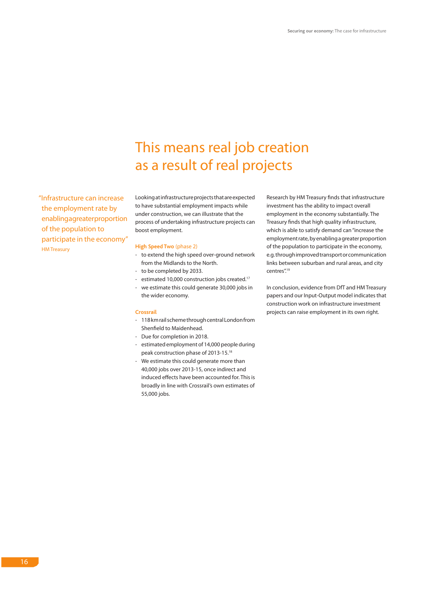## This means real job creation as a result of real projects

"Infrastructure can increase the employment rate by enabling a greater proportion of the population to participate in the economy" HM Treasury

Looking at infrastructure projects that are expected to have substantial employment impacts while under construction, we can illustrate that the process of undertaking infrastructure projects can boost employment.

#### **High Speed Two** (phase 2)

- to extend the high speed over-ground network from the Midlands to the North.
- to be completed by 2033.
- estimated 10,000 construction jobs created.<sup>17</sup>
- we estimate this could generate 30,000 jobs in the wider economy.

#### **Crossrail**

- 118 km rail scheme through central London from Shenfield to Maidenhead.
- Due for completion in 2018.
- estimated employment of 14,000 people during peak construction phase of 2013-15.18
- We estimate this could generate more than 40,000 jobs over 2013-15, once indirect and induced effects have been accounted for. This is broadly in line with Crossrail's own estimates of 55,000 jobs.

Research by HM Treasury finds that infrastructure investment has the ability to impact overall employment in the economy substantially. The Treasury finds that high quality infrastructure, which is able to satisfy demand can "increase the employment rate, by enabling a greater proportion of the population to participate in the economy, e.g. through improved transport or communication links between suburban and rural areas, and city centres".<sup>19</sup>

In conclusion, evidence from DfT and HM Treasury papers and our Input-Output model indicates that construction work on infrastructure investment projects can raise employment in its own right.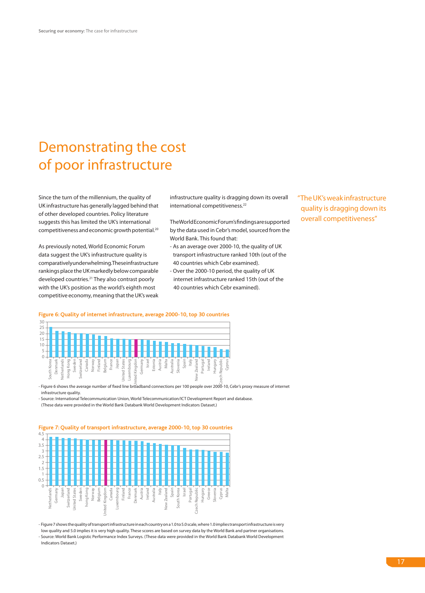# Demonstrating the cost of poor infrastructure

Since the turn of the millennium, the quality of UK infrastructure has generally lagged behind that of other developed countries. Policy literature suggests this has limited the UK's international competitiveness and economic growth potential.20

As previously noted, World Economic Forum data suggest the UK's infrastructure quality is comparatively underwhelming. These infrastructure rankings place the UK markedly below comparable developed countries.21 They also contrast poorly with the UK's position as the world's eighth most competitive economy, meaning that the UK's weak

infrastructure quality is dragging down its overall international competitiveness.<sup>22</sup>

The World Economic Forum's findings are supported by the data used in Cebr's model, sourced from the World Bank. This found that:

- As an average over 2000-10, the quality of UK transport infrastructure ranked 10th (out of the 40 countries which Cebr examined).
- Over the 2000-10 period, the quality of UK internet infrastructure ranked 15th (out of the 40 countries which Cebr examined).

"The UK's weak infrastructure quality is dragging down its overall competitiveness"



- Figure 6 shows the average number of fixed line broadband connections per 100 people over 2000-10, Cebr's proxy measure of internet infrastructure quality.

- Source: International Telecommunication Union, World Telecommunication/ICT Development Report and database.

(These data were provided in the World Bank Databank World Development Indicators Dataset.)



**Figure 7: Quality of transport infrastructure, average 2000-10, top 30 countries**

- Figure 7 shows the quality of transport infrastructure in each country on a 1.0 to 5.0 scale, where 1.0 implies transport infrastructure is very low quality and 5.0 implies it is very high quality. These scores are based on survey data by the World Bank and partner organisations. - Source: World Bank Logistic Performance Index Surveys. (These data were provided in the World Bank Databank World Development Indicators Dataset.)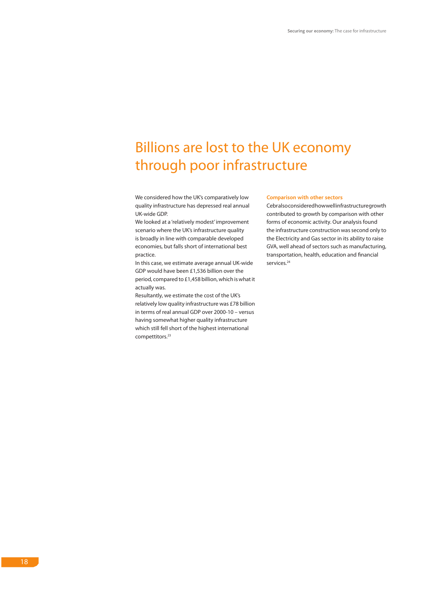# Billions are lost to the UK economy through poor infrastructure

We considered how the UK's comparatively low quality infrastructure has depressed real annual UK-wide GDP.

We looked at a 'relatively modest' improvement scenario where the UK's infrastructure quality is broadly in line with comparable developed economies, but falls short of international best practice.

In this case, we estimate average annual UK-wide GDP would have been £1,536 billion over the period, compared to £1,458 billion, which is what it actually was.

Resultantly, we estimate the cost of the UK's relatively low quality infrastructure was £78 billion in terms of real annual GDP over 2000-10 – versus having somewhat higher quality infrastructure which still fell short of the highest international compettitors.<sup>23</sup>

#### **Comparison with other sectors**

Cebralso considered how well infrastructure growth contributed to growth by comparison with other forms of economic activity. Our analysis found the infrastructure construction was second only to the Electricity and Gas sector in its ability to raise GVA, well ahead of sectors such as manufacturing, transportation, health, education and financial services.<sup>24</sup>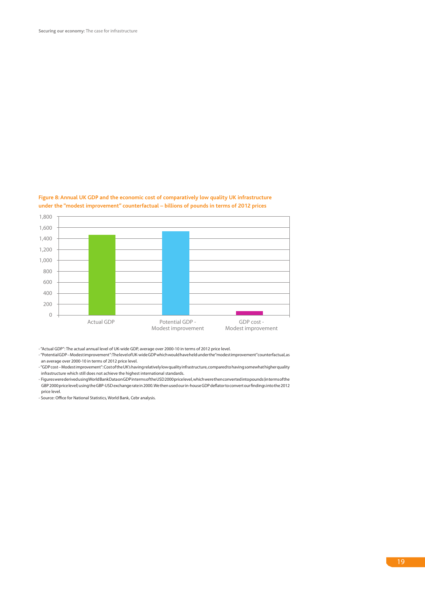

#### **Figure 8: Annual UK GDP and the economic cost of comparatively low quality UK infrastructure under the "modest improvement" counterfactual – billions of pounds in terms of 2012 prices**

- "Actual GDP": The actual annual level of UK-wide GDP, average over 2000-10 in terms of 2012 price level.

- "Potential GDP – Modest improvement": The level of UK-wide GDP which would have held under the "modest improvement" counterfactual, as an average over 2000-10 in terms of 2012 price level.

- "GDP cost – Modest improvement": Cost of the UK's having relatively low quality infrastructure, compared to having somewhat higher quality infrastructure which still does not achieve the highest international standards.

- Figures were derived using World Bank Data on GDP in terms of the USD 2000 price level, which were then converted into pounds (in terms of the GBP 2000 price level) using the GBP-USD exchange rate in 2000. We then used our in-house GDP deflator to convert our findings into the 2012 price level.

- Source: Office for National Statistics, World Bank, Cebr analysis.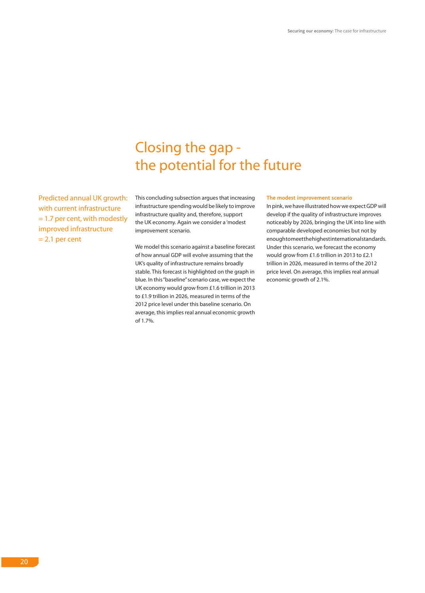### Closing the gap the potential for the future

Predicted annual UK growth: with current infrastructure = 1.7 per cent, with modestly improved infrastructure  $= 2.1$  per cent

This concluding subsection argues that increasing infrastructure spending would be likely to improve infrastructure quality and, therefore, support the UK economy. Again we consider a 'modest improvement scenario.

We model this scenario against a baseline forecast of how annual GDP will evolve assuming that the UK's quality of infrastructure remains broadly stable. This forecast is highlighted on the graph in blue. In this "baseline" scenario case, we expect the UK economy would grow from £1.6 trillion in 2013 to £1.9 trillion in 2026, measured in terms of the 2012 price level under this baseline scenario. On average, this implies real annual economic growth of 1.7%.

#### **The modest improvement scenario**

In pink, we have illustrated how we expect GDP will develop if the quality of infrastructure improves noticeably by 2026, bringing the UK into line with comparable developed economies but not by enough to meet the highest international standards. Under this scenario, we forecast the economy would grow from £1.6 trillion in 2013 to £2.1 trillion in 2026, measured in terms of the 2012 price level. On average, this implies real annual economic growth of 2.1%.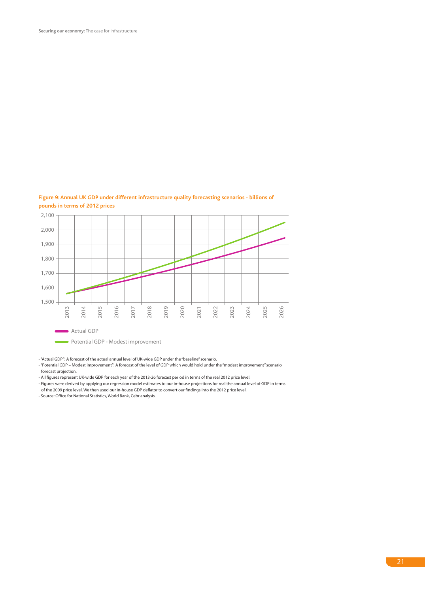

#### **Figure 9: Annual UK GDP under different infrastructure quality forecasting scenarios - billions of pounds in terms of 2012 prices**

- "Actual GDP": A forecast of the actual annual level of UK-wide GDP under the "baseline" scenario.

- "Potential GDP – Modest improvement": A forecast of the level of GDP which would hold under the "modest improvement" scenario forecast projection.

- All figures represent UK-wide GDP for each year of the 2013-26 forecast period in terms of the real 2012 price level.

- Figures were derived by applying our regression model estimates to our in-house projections for real the annual level of GDP in terms of the 2009 price level. We then used our in-house GDP deflator to convert our findings into the 2012 price level.

- Source: Office for National Statistics, World Bank, Cebr analysis.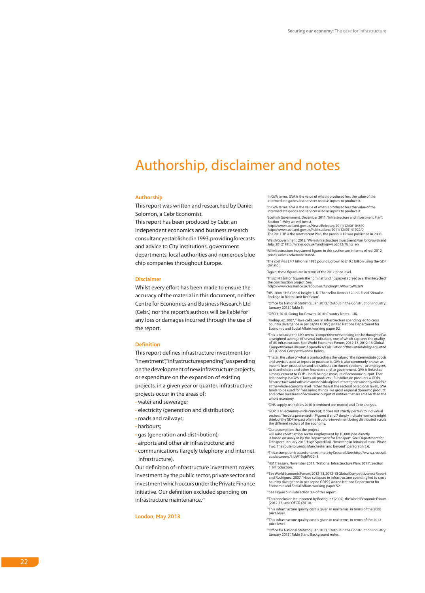### Authorship, disclaimer and notes

#### **Authorship**

This report was written and researched by Daniel Solomon, a Cebr Economist.

This report has been produced by Cebr, an independent economics and business research consultancy established in 1993, providing forecasts and advice to City institutions, government departments, local authorities and numerous blue chip companies throughout Europe.

#### **Disclaimer**

Whilst every effort has been made to ensure the accuracy of the material in this document, neither Centre for Economics and Business Research Ltd (Cebr.) nor the report's authors will be liable for any loss or damages incurred through the use of the report.

#### **Definition**

This report defines infrastructure investment (or "investment","infrastructurespending") asspending on the development of new infrastructure projects, or expenditure on the expansion of existing projects, in a given year or quarter. Infrastructure projects occur in the areas of:

- water and sewerage;
- electricity (generation and distribution);
- roads and railways;
- harbours;
- gas (generation and distribution);
- airports and other air infrastructure; and
- communications (largely telephony and internet infrastructure).

Our definition of infrastructure investment covers investment by the public sector, private sector and investment which occurs under the Private Finance Initiative. Our definition excluded spending on infrastructure maintenance.<sup>25</sup>

**London, May 2013**

1 In GVA terms. GVA is the value of what is produced less the value of the intermediate goods and services used as inputs to produce it.

2 In GVA terms. GVA is the value of what is produced less the value of the intermediate goods and services used as inputs to produce it.

3 Scottish Government, December 2011, "Infrastructure and Investment Plan", Section 1: Why we will invest. http://www.scotland.gov.uk/News/Releases/2011/12/06104509

http://www.scotland.gov.uk/Publications/2011/12/05141922/0 The 2011 IIP is the most recent Plan; the previous IIP was published in 2008.

4 Welsh Government, 2012, "Wales Infrastructure Investment Plan for Growth and Jobs 2012". http://wales.gov.uk/funding/wiip2012/?lang=en

5 All infrastructure investment figures in this section are in terms of real 2012 prices, unless otherwise stated.

6 The cost was £4.7 billion in 1985 pounds, grown to £10.5 billion using the GDP deflator

7 Again, these figures are in terms of the 2012 price level.

8 This £14.8 billion figure is the nominal funding packet agreed over the lifecycle of the construction project. See: http://www.crossrail.co.uk/about-us/funding#.UW6wrbWG2n9

9 HIS, 2008, "IHS Global Insight: U.K. Chancellor Unveils £20-bil. Fiscal Stimulus Package in Bid to Limit Recession".

10Office for National Statistics, Jan 2013, "Output in the Construction Industry: January 2013", Table 5.

11OECD, 2010, Going for Growth, 2010: Country Notes – UK.

<sup>12</sup>Rodriguez, 2007, "Have collapses in infrastructure spending led to cross country divergence in per capita GDP?", United Nations Department for Economic and Social Affairs working paper 52.

<sup>13</sup>This is because the UK's overall competitiveness ranking can be thought of as a weighted average of several indicators, one of which captures the quality of UK infrastructure. See: World Economic Forum, 2012-13, 2012-13 Global Competitiveness Report, Appendix A: Calculation of the sustainability-adjusted GCI (Global Competitiveness Index).

<sup>14</sup>That is, the value of what is produced less the value of the intermediate goods<br>and services used as inputs to produce it. GVA is also commonly known as<br>income from production and is distributed in three directions - t to shareholders and other financiers and to government. GVA is linked as a measurement to GDP – both being a measure of economic output. That relationship is (GVA + Taxes on products - Subsidies on products = GDP). Because taxes and subsidies on individual product categories are only available at the whole economy level (rather than at the sectoral or regional level), GVA tends to be used for measuring things like gross regional domestic product and other measures of economic output of entities that are smaller than the whole economy.

<sup>15</sup>ONS supply-use tables 2010 (combined use matrix) and Cebr analysis.

<sup>16</sup>GDP is an economy-wide concept; it does not strictly pertain to individual<br>sectors. The data presented in Figures 6 and 7 simply indicate how one might<br>think of the GDP impact of infrastructure investment being distrib the different sectors of the economy.

17Our assumption that the project

will raise construction sector employment by 10,000 jobs directly is based on analysis by the Department for Transport. See: Department for Transport, January 2013, High Speed Rail - "Investing in Britain's future - Phase Two: The route to Leeds, Manchester and beyond", paragraph 3.6.

18This assumption is based on an estimate by Crossrail. See: http://www.crossrail. co.uk/careers/#.UW10qbWG2n8

19HM Treasury, November 2011, "National Infrastructure Plan: 2011", Section 1: Introducti

<sup>26</sup>SeeWorld Economic Forum, 2012-13, 2012-13 Global Competitiveness Report<br>and Rodriguez, 2007, "Have collapses in infrastructure spending led to cross<br>country divergence in per capita GDP?", United Nations Department for

21See Figure 5 in subsection 3.4 of this report.

22This conclusion is supported by Rodriguez (2007), the World Economic Forum (2012-13) and OECD (2010).

23This infrastructure quality cost is given in real terms, in terms of the 2000 price level.

24This infrastructure quality cost is given in real terms, in terms of the 2012 price level.

<sup>25</sup>Office for National Statistics, Jan 2013, "Output in the Construction Industry: January 2013", Table 5 and Background notes.